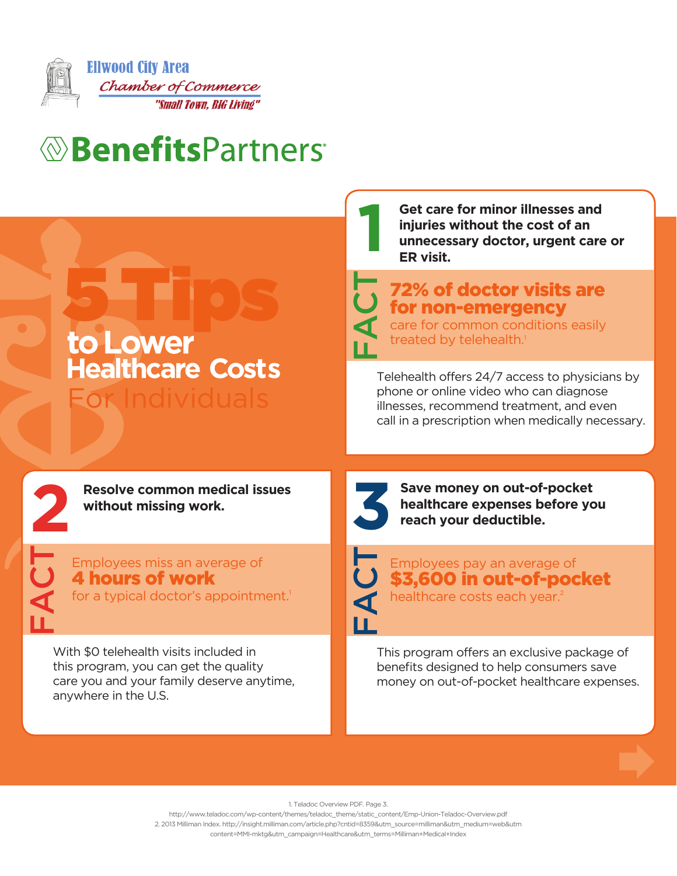

## *<u>®BenefitsPartners</u>*

|                                                                                                            | Get care for minor illnesses and<br>injuries without the cost of an<br>unnecessary doctor, urgent care or<br>ER visit.                                                                   |
|------------------------------------------------------------------------------------------------------------|------------------------------------------------------------------------------------------------------------------------------------------------------------------------------------------|
| to Lower                                                                                                   | $\overline{\mathbf{C}}$<br><b>72% of doctor visits are</b><br>for non-emergency<br>care for common conditions easily<br>treated by telehealth. <sup>1</sup>                              |
| <b>Healthcare Costs</b><br>For Individuals                                                                 | Telehealth offers 24/7 access to physicians by<br>phone or online video who can diagnose<br>illnesses, recommend treatment, and even<br>call in a prescription when medically necessary. |
|                                                                                                            |                                                                                                                                                                                          |
| <b>Resolve common medical issues</b><br>without missing work.                                              | Save money on out-of-pocket<br>healthcare expenses before you<br>reach your deductible.                                                                                                  |
| Employees miss an average of<br><b>4 hours of work</b><br>for a typical doctor's appointment. <sup>1</sup> | Employees pay an average of<br>$\overline{\textbf{C}}$<br>\$3,600 in out-of-pocket<br>healthcare costs each year. <sup>2</sup><br>$\blacktriangleleft$<br>ப                              |

## 1. Teladoc Overview PDF. Page 3.

http://www.teladoc.com/wp-content/themes/teladoc\_theme/static\_content/Emp-Union-Teladoc-Overview.pdf 2. 2013 Milliman Index. http://insight.milliman.com/article.php?cntid=8359&utm\_source=milliman&utm\_medium=web&utm content=MMI-mktg&utm\_campaign=Healthcare&utm\_terms=Milliman+Medical+Index